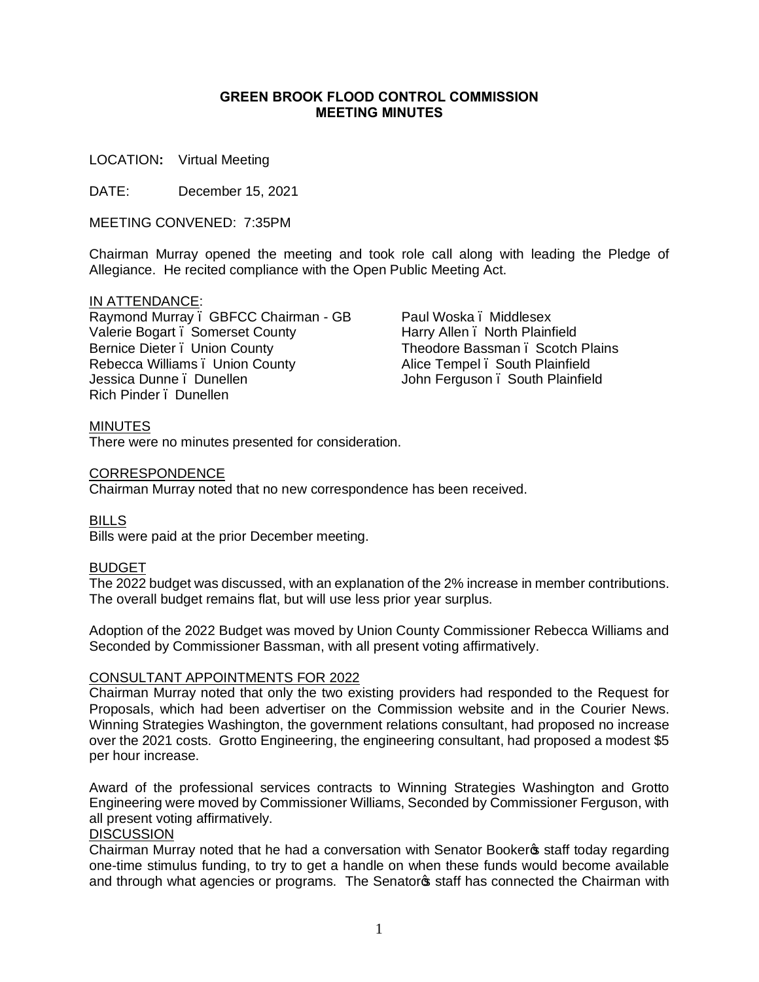### **GREEN BROOK FLOOD CONTROL COMMISSION MEETING MINUTES**

LOCATION**:** Virtual Meeting

DATE: December 15, 2021

MEETING CONVENED: 7:35PM

Chairman Murray opened the meeting and took role call along with leading the Pledge of Allegiance. He recited compliance with the Open Public Meeting Act.

# IN ATTENDANCE:

Raymond Murray – GBFCC Chairman - GB Valerie Bogart . Somerset County Bernice Dieter . Union County Rebecca Williams – Union County Jessica Dunne – Dunellen Rich Pinder – Dunellen

Paul Woska – Middlesex Harry Allen – North Plainfield Theodore Bassman – Scotch Plains Alice Tempel – South Plainfield John Ferguson – South Plainfield

# MINUTES

There were no minutes presented for consideration.

### CORRESPONDENCE

Chairman Murray noted that no new correspondence has been received.

BILLS Bills were paid at the prior December meeting.

### BUDGET

The 2022 budget was discussed, with an explanation of the 2% increase in member contributions. The overall budget remains flat, but will use less prior year surplus.

Adoption of the 2022 Budget was moved by Union County Commissioner Rebecca Williams and Seconded by Commissioner Bassman, with all present voting affirmatively.

### CONSULTANT APPOINTMENTS FOR 2022

Chairman Murray noted that only the two existing providers had responded to the Request for Proposals, which had been advertiser on the Commission website and in the Courier News. Winning Strategies Washington, the government relations consultant, had proposed no increase over the 2021 costs. Grotto Engineering, the engineering consultant, had proposed a modest \$5 per hour increase.

Award of the professional services contracts to Winning Strategies Washington and Grotto Engineering were moved by Commissioner Williams, Seconded by Commissioner Ferguson, with all present voting affirmatively.

# **DISCUSSION**

Chairman Murray noted that he had a conversation with Senator Booker ts staff today regarding one-time stimulus funding, to try to get a handle on when these funds would become available and through what agencies or programs. The Senatoros staff has connected the Chairman with